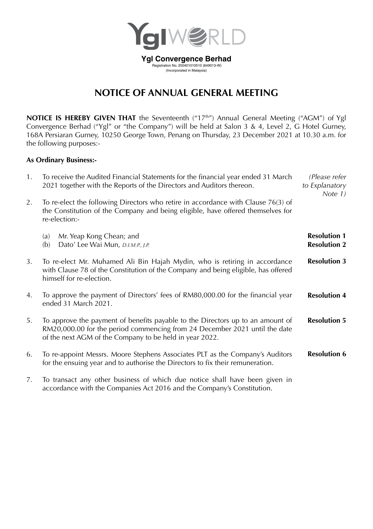

# **NOTICE OF ANNUAL GENERAL MEETING**

NOTICE IS HEREBY GIVEN THAT the Seventeenth ("17<sup>th"</sup>) Annual General Meeting ("AGM") of Ygl Convergence Berhad ("Ygl" or "the Company") will be held at Salon 3 & 4, Level 2, G Hotel Gurney, 168A Persiaran Gurney, 10250 George Town, Penang on Thursday, 23 December 2021 at 10.30 a.m. for the following purposes:-

### **As Ordinary Business:-**

| 1. | To receive the Audited Financial Statements for the financial year ended 31 March<br>2021 together with the Reports of the Directors and Auditors thereon.                                                              | (Please refer<br>to Explanatory<br>Note 1) |
|----|-------------------------------------------------------------------------------------------------------------------------------------------------------------------------------------------------------------------------|--------------------------------------------|
| 2. | To re-elect the following Directors who retire in accordance with Clause 76(3) of<br>the Constitution of the Company and being eligible, have offered themselves for<br>re-election:-                                   |                                            |
|    | Mr. Yeap Kong Chean; and<br>(a)<br>Dato' Lee Wai Mun, D.I.M.P., J.P.<br>(b)                                                                                                                                             | <b>Resolution 1</b><br><b>Resolution 2</b> |
| 3. | To re-elect Mr. Muhamed Ali Bin Hajah Mydin, who is retiring in accordance<br>with Clause 78 of the Constitution of the Company and being eligible, has offered<br>himself for re-election.                             | <b>Resolution 3</b>                        |
| 4. | To approve the payment of Directors' fees of RM80,000.00 for the financial year<br>ended 31 March 2021.                                                                                                                 | <b>Resolution 4</b>                        |
| 5. | To approve the payment of benefits payable to the Directors up to an amount of<br>RM20,000.00 for the period commencing from 24 December 2021 until the date<br>of the next AGM of the Company to be held in year 2022. | <b>Resolution 5</b>                        |
| 6. | To re-appoint Messrs. Moore Stephens Associates PLT as the Company's Auditors<br>for the ensuing year and to authorise the Directors to fix their remuneration.                                                         | <b>Resolution 6</b>                        |
| 7. | To transact any other business of which due notice shall have been given in<br>accordance with the Companies Act 2016 and the Company's Constitution.                                                                   |                                            |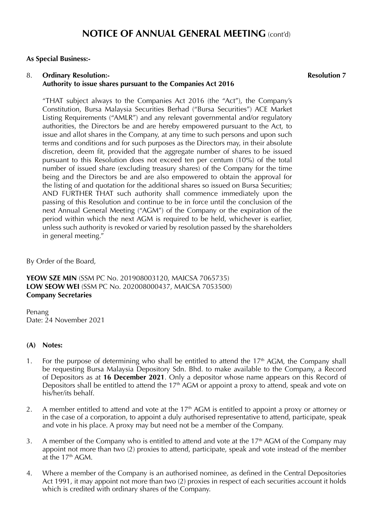#### **As Special Business:-**

#### 8. **Ordinary Resolution:- Authority to issue shares pursuant to the Companies Act 2016**

**Resolution 7**

"THAT subject always to the Companies Act 2016 (the "Act"), the Company's Constitution, Bursa Malaysia Securities Berhad ("Bursa Securities") ACE Market Listing Requirements ("AMLR") and any relevant governmental and/or regulatory authorities, the Directors be and are hereby empowered pursuant to the Act, to issue and allot shares in the Company, at any time to such persons and upon such terms and conditions and for such purposes as the Directors may, in their absolute discretion, deem fit, provided that the aggregate number of shares to be issued pursuant to this Resolution does not exceed ten per centum (10%) of the total number of issued share (excluding treasury shares) of the Company for the time being and the Directors be and are also empowered to obtain the approval for the listing of and quotation for the additional shares so issued on Bursa Securities; AND FURTHER THAT such authority shall commence immediately upon the passing of this Resolution and continue to be in force until the conclusion of the next Annual General Meeting ("AGM") of the Company or the expiration of the period within which the next AGM is required to be held, whichever is earlier, unless such authority is revoked or varied by resolution passed by the shareholders in general meeting."

By Order of the Board,

**YEOW SZE MIN** (SSM PC No. 201908003120, MAICSA 7065735) **LOW SEOW WEI** (SSM PC No. 202008000437, MAICSA 7053500) **Company Secretaries**

Penang Date: 24 November 2021

#### **(A) Notes:**

- 1. For the purpose of determining who shall be entitled to attend the  $17<sup>th</sup>$  AGM, the Company shall be requesting Bursa Malaysia Depository Sdn. Bhd. to make available to the Company, a Record of Depositors as at **16 December 2021**. Only a depositor whose name appears on this Record of Depositors shall be entitled to attend the 17<sup>th</sup> AGM or appoint a proxy to attend, speak and vote on his/her/its behalf.
- 2. A member entitled to attend and vote at the  $17<sup>th</sup>$  AGM is entitled to appoint a proxy or attorney or in the case of a corporation, to appoint a duly authorised representative to attend, participate, speak and vote in his place. A proxy may but need not be a member of the Company.
- 3. A member of the Company who is entitled to attend and vote at the  $17<sup>th</sup>$  AGM of the Company may appoint not more than two (2) proxies to attend, participate, speak and vote instead of the member at the  $17<sup>th</sup>$  AGM.
- 4. Where a member of the Company is an authorised nominee, as defined in the Central Depositories Act 1991, it may appoint not more than two (2) proxies in respect of each securities account it holds which is credited with ordinary shares of the Company.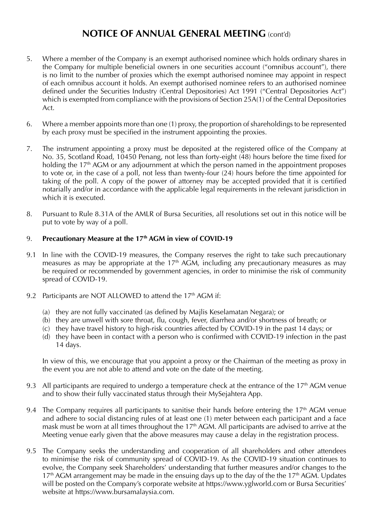- 5. Where a member of the Company is an exempt authorised nominee which holds ordinary shares in the Company for multiple beneficial owners in one securities account ("omnibus account"), there is no limit to the number of proxies which the exempt authorised nominee may appoint in respect of each omnibus account it holds. An exempt authorised nominee refers to an authorised nominee defined under the Securities Industry (Central Depositories) Act 1991 ("Central Depositories Act") which is exempted from compliance with the provisions of Section 25A(1) of the Central Depositories Act.
- 6. Where a member appoints more than one (1) proxy, the proportion of shareholdings to be represented by each proxy must be specified in the instrument appointing the proxies.
- 7. The instrument appointing a proxy must be deposited at the registered office of the Company at No. 35, Scotland Road, 10450 Penang, not less than forty-eight (48) hours before the time fixed for holding the 17<sup>th</sup> AGM or any adjournment at which the person named in the appointment proposes to vote or, in the case of a poll, not less than twenty-four (24) hours before the time appointed for taking of the poll. A copy of the power of attorney may be accepted provided that it is certified notarially and/or in accordance with the applicable legal requirements in the relevant jurisdiction in which it is executed.
- 8. Pursuant to Rule 8.31A of the AMLR of Bursa Securities, all resolutions set out in this notice will be put to vote by way of a poll.

### 9. **Precautionary Measure at the 17th AGM in view of COVID-19**

- 9.1 In line with the COVID-19 measures, the Company reserves the right to take such precautionary measures as may be appropriate at the 17<sup>th</sup> AGM, including any precautionary measures as may be required or recommended by government agencies, in order to minimise the risk of community spread of COVID-19.
- 9.2 Participants are NOT ALLOWED to attend the 17<sup>th</sup> AGM if:
	- (a) they are not fully vaccinated (as defined by Majlis Keselamatan Negara); or
	- (b) they are unwell with sore throat, flu, cough, fever, diarrhea and/or shortness of breath; or
	- (c) they have travel history to high-risk countries affected by COVID-19 in the past 14 days; or
	- (d) they have been in contact with a person who is confirmed with COVID-19 infection in the past 14 days.

In view of this, we encourage that you appoint a proxy or the Chairman of the meeting as proxy in the event you are not able to attend and vote on the date of the meeting.

- 9.3 All participants are required to undergo a temperature check at the entrance of the  $17<sup>th</sup>$  AGM venue and to show their fully vaccinated status through their MySejahtera App.
- 9.4 The Company requires all participants to sanitise their hands before entering the  $17<sup>th</sup>$  AGM venue and adhere to social distancing rules of at least one (1) meter between each participant and a face mask must be worn at all times throughout the 17<sup>th</sup> AGM. All participants are advised to arrive at the Meeting venue early given that the above measures may cause a delay in the registration process.
- 9.5 The Company seeks the understanding and cooperation of all shareholders and other attendees to minimise the risk of community spread of COVID-19. As the COVID-19 situation continues to evolve, the Company seek Shareholders' understanding that further measures and/or changes to the  $17<sup>th</sup>$  AGM arrangement may be made in the ensuing days up to the day of the the  $17<sup>th</sup>$  AGM. Updates will be posted on the Company's corporate website at https://www.yglworld.com or Bursa Securities' website at https://www.bursamalaysia.com.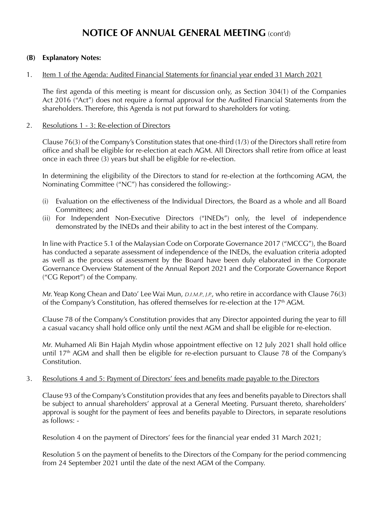#### **(B) Explanatory Notes:**

#### 1. Item 1 of the Agenda: Audited Financial Statements for financial year ended 31 March 2021

The first agenda of this meeting is meant for discussion only, as Section 304(1) of the Companies Act 2016 ("Act") does not require a formal approval for the Audited Financial Statements from the shareholders. Therefore, this Agenda is not put forward to shareholders for voting.

#### 2. Resolutions 1 - 3: Re-election of Directors

Clause 76(3) of the Company's Constitution states that one-third (1/3) of the Directors shall retire from office and shall be eligible for re-election at each AGM. All Directors shall retire from office at least once in each three (3) years but shall be eligible for re-election.

In determining the eligibility of the Directors to stand for re-election at the forthcoming AGM, the Nominating Committee ("NC") has considered the following:-

- (i) Evaluation on the effectiveness of the Individual Directors, the Board as a whole and all Board Committees; and
- (ii) For Independent Non-Executive Directors ("INEDs") only, the level of independence demonstrated by the INEDs and their ability to act in the best interest of the Company.

In line with Practice 5.1 of the Malaysian Code on Corporate Governance 2017 ("MCCG"), the Board has conducted a separate assessment of independence of the INEDs, the evaluation criteria adopted as well as the process of assessment by the Board have been duly elaborated in the Corporate Governance Overview Statement of the Annual Report 2021 and the Corporate Governance Report ("CG Report") of the Company.

Mr. Yeap Kong Chean and Dato' Lee Wai Mun, *D.I.M.P., J.P.*, who retire in accordance with Clause 76(3) of the Company's Constitution, has offered themselves for re-election at the  $17<sup>th</sup>$  AGM.

Clause 78 of the Company's Constitution provides that any Director appointed during the year to fill a casual vacancy shall hold office only until the next AGM and shall be eligible for re-election.

Mr. Muhamed Ali Bin Hajah Mydin whose appointment effective on 12 July 2021 shall hold office until  $17<sup>th</sup>$  AGM and shall then be eligible for re-election pursuant to Clause 78 of the Company's Constitution.

#### 3. Resolutions 4 and 5: Payment of Directors' fees and benefits made payable to the Directors

Clause 93 of the Company's Constitution provides that any fees and benefits payable to Directors shall be subject to annual shareholders' approval at a General Meeting. Pursuant thereto, shareholders' approval is sought for the payment of fees and benefits payable to Directors, in separate resolutions as follows: -

Resolution 4 on the payment of Directors' fees for the financial year ended 31 March 2021;

Resolution 5 on the payment of benefits to the Directors of the Company for the period commencing from 24 September 2021 until the date of the next AGM of the Company.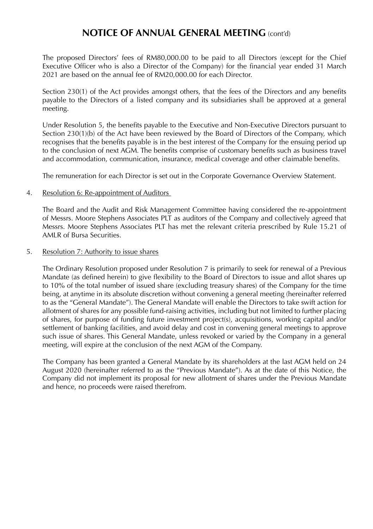The proposed Directors' fees of RM80,000.00 to be paid to all Directors (except for the Chief Executive Officer who is also a Director of the Company) for the financial year ended 31 March 2021 are based on the annual fee of RM20,000.00 for each Director.

Section 230(1) of the Act provides amongst others, that the fees of the Directors and any benefits payable to the Directors of a listed company and its subsidiaries shall be approved at a general meeting.

Under Resolution 5, the benefits payable to the Executive and Non-Executive Directors pursuant to Section 230(1)(b) of the Act have been reviewed by the Board of Directors of the Company, which recognises that the benefits payable is in the best interest of the Company for the ensuing period up to the conclusion of next AGM. The benefits comprise of customary benefits such as business travel and accommodation, communication, insurance, medical coverage and other claimable benefits.

The remuneration for each Director is set out in the Corporate Governance Overview Statement.

#### 4. Resolution 6: Re-appointment of Auditors

The Board and the Audit and Risk Management Committee having considered the re-appointment of Messrs. Moore Stephens Associates PLT as auditors of the Company and collectively agreed that Messrs. Moore Stephens Associates PLT has met the relevant criteria prescribed by Rule 15.21 of AMLR of Bursa Securities.

#### 5. Resolution 7: Authority to issue shares

The Ordinary Resolution proposed under Resolution 7 is primarily to seek for renewal of a Previous Mandate (as defined herein) to give flexibility to the Board of Directors to issue and allot shares up to 10% of the total number of issued share (excluding treasury shares) of the Company for the time being, at anytime in its absolute discretion without convening a general meeting (hereinafter referred to as the "General Mandate"). The General Mandate will enable the Directors to take swift action for allotment of shares for any possible fund-raising activities, including but not limited to further placing of shares, for purpose of funding future investment project(s), acquisitions, working capital and/or settlement of banking facilities, and avoid delay and cost in convening general meetings to approve such issue of shares. This General Mandate, unless revoked or varied by the Company in a general meeting, will expire at the conclusion of the next AGM of the Company.

The Company has been granted a General Mandate by its shareholders at the last AGM held on 24 August 2020 (hereinafter referred to as the "Previous Mandate"). As at the date of this Notice, the Company did not implement its proposal for new allotment of shares under the Previous Mandate and hence, no proceeds were raised therefrom.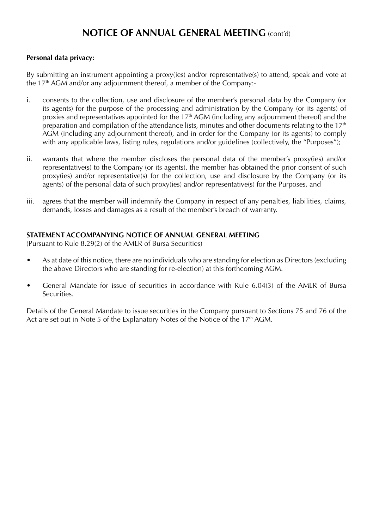#### **Personal data privacy:**

By submitting an instrument appointing a proxy(ies) and/or representative(s) to attend, speak and vote at the 17<sup>th</sup> AGM and/or any adjournment thereof, a member of the Company:-

- i. consents to the collection, use and disclosure of the member's personal data by the Company (or its agents) for the purpose of the processing and administration by the Company (or its agents) of proxies and representatives appointed for the  $17<sup>th</sup>$  AGM (including any adjournment thereof) and the preparation and compilation of the attendance lists, minutes and other documents relating to the 17<sup>th</sup> AGM (including any adjournment thereof), and in order for the Company (or its agents) to comply with any applicable laws, listing rules, regulations and/or guidelines (collectively, the "Purposes");
- ii. warrants that where the member discloses the personal data of the member's proxy(ies) and/or representative(s) to the Company (or its agents), the member has obtained the prior consent of such proxy(ies) and/or representative(s) for the collection, use and disclosure by the Company (or its agents) of the personal data of such proxy(ies) and/or representative(s) for the Purposes, and
- iii. agrees that the member will indemnify the Company in respect of any penalties, liabilities, claims, demands, losses and damages as a result of the member's breach of warranty.

#### **STATEMENT ACCOMPANYING NOTICE OF ANNUAL GENERAL MEETING**

(Pursuant to Rule 8.29(2) of the AMLR of Bursa Securities)

- As at date of this notice, there are no individuals who are standing for election as Directors (excluding the above Directors who are standing for re-election) at this forthcoming AGM.
- General Mandate for issue of securities in accordance with Rule 6.04(3) of the AMLR of Bursa Securities.

Details of the General Mandate to issue securities in the Company pursuant to Sections 75 and 76 of the Act are set out in Note 5 of the Explanatory Notes of the Notice of the 17<sup>th</sup> AGM.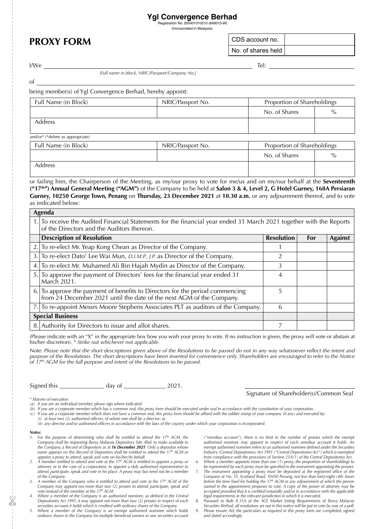## **Ygl Convergence Berhad**

 Registration No. 200401010510 (649013-W) (Incorporated in Malaysia)

# **PROXY FORM** CDS account no.

No. of shares held

I/We Tel:

of

*[Full name in block, NRIC/Passport/Company No.]*

being member(s) of Ygl Convergence Berhad, hereby appoint:

| Full Name (in Block) | NRIC/Passport No. | Proportion of Shareholdings |      |
|----------------------|-------------------|-----------------------------|------|
|                      |                   | No. of Shares               | $\%$ |
| Address              |                   |                             |      |
|                      |                   |                             |      |

|  |  | and/or* (*delete as appropriate) |
|--|--|----------------------------------|
|  |  |                                  |

| Full Name (in Block) | NRIC/Passport No. | Proportion of Shareholdings |      |
|----------------------|-------------------|-----------------------------|------|
|                      |                   | No. of Shares               | $\%$ |
| Address              |                   |                             |      |

or failing him, the Chairperson of the Meeting, as my/our proxy to vote for me/us and on my/our behalf at the **Seventeenth ("17th") Annual General Meeting ("AGM")** of the Company to be held at **Salon 3 & 4, Level 2, G Hotel Gurney, 168A Persiaran Gurney, 10250 George Town, Penang** on **Thursday, 23 December 2021** at **10.30 a.m.** or any adjournment thereof, and to vote as indicated below:

| Agenda |                                                                                                                                                                   |                   |     |                |  |  |
|--------|-------------------------------------------------------------------------------------------------------------------------------------------------------------------|-------------------|-----|----------------|--|--|
|        | 1. To receive the Audited Financial Statements for the financial year ended 31 March 2021 together with the Reports<br>of the Directors and the Auditors thereon. |                   |     |                |  |  |
|        | <b>Description of Resolution</b>                                                                                                                                  | <b>Resolution</b> | For | <b>Against</b> |  |  |
| 2.1    | To re-elect Mr. Yeap Kong Chean as Director of the Company.                                                                                                       |                   |     |                |  |  |
| 3.1    | To re-elect Dato' Lee Wai Mun, D.I.M.P., J.P. as Director of the Company.                                                                                         | 2                 |     |                |  |  |
| 4.1    | To re-elect Mr. Muhamed Ali Bin Hajah Mydin as Director of the Company.                                                                                           | 3                 |     |                |  |  |
|        | 5. To approve the payment of Directors' fees for the financial year ended 31<br>March 2021.                                                                       | 4                 |     |                |  |  |
|        | 6. To approve the payment of benefits to Directors for the period commencing<br>from 24 December 2021 until the date of the next AGM of the Company.              | 5                 |     |                |  |  |
|        | 7. To re-appoint Messrs Moore Stephens Associates PLT as auditors of the Company.                                                                                 | 6                 |     |                |  |  |
|        | <b>Special Business</b>                                                                                                                                           |                   |     |                |  |  |
|        | 8. Authority for Directors to issue and allot shares.                                                                                                             |                   |     |                |  |  |

(Please indicate with an "X" in the appropriate box how you wish your proxy to vote. If no instruction is given, the proxy will vote or abstain at his/her discretion). *\* Strike out whichever not applicable.*

Note: *Please note that the short descriptions given above of the Resolutions to be passed do not in any way whatsoever reflect the intent and*  purpose of the Resolutions. The short descriptions have been inserted for convenience only. Shareholders are encouraged to refer to the Notice<br>of 17® AGM for the full purpose and intent of the Resolutions to be passed.

Signed this \_\_\_\_\_\_\_\_\_\_\_\_\_\_\_ day of \_\_\_\_\_\_\_\_\_\_\_\_\_\_ 2021.

Signature of Shareholder(s)/Common Seal

*\* Manner of execution:*

*(a) If you are an individual member, please sign where indicated.*

*(b) If you are a corporate member which has a common seal, this proxy form should be executed under seal in accordance with the constitution of your corporation.*

*(c) If you are a corporate member which does not have a common seal, this proxy form should be affixed with the rubber stamp of your company (if any) and executed by:*

*(i) at least two (2) authorised officers, of whom one shall be a director; or*

*(ii)* any director and/or authorised officers in accordance with the laws of the country under which your corporation is incorporated.

*Notes:*

- 1. For the purpose of determining who shall be entitled to attend the  $17<sup>th</sup>$  AGM, the *Company shall be requesting Bursa Malaysia Depository Sdn. Bhd. to make available to the Company, a Record of Depositors as at 16 December 2021. Only a depositor whose name appears on this Record of Depositors shall be entitled to attend the 17th AGM or appoint a proxy to attend, speak and vote on his/her/its behalf.*
- *2. A member entitled to attend and vote at the 17th AGM is entitled to appoint a proxy or attorney or in the case of a corporation, to appoint a duly authorised representative to attend, participate, speak and vote in his place. A proxy may but need not be a member of the Company.*
- A member of the Company who is entitled to attend and vote at the 17<sup>th</sup> AGM of the *Company may appoint not more than two (2) proxies to attend, participate, speak and vote instead of the member at the 17th AGM.*
- Where a member of the Company is an authorised nominee, as defined in the Central *Depositories Act 1991, it may appoint not more than two (2) proxies in respect of each securities account it holds which is credited with ordinary shares of the Company.*
- *5. Where a member of the Company is an exempt authorised nominee which holds ordinary shares in the Company for multiple beneficial owners in one securities account*

*("omnibus account"), there is no limit to the number of proxies which the exempt authorised nominee may appoint in respect of each omnibus account it holds. An exempt authorised nominee refers to an authorised nominee defined under the Securities Industry (Central Depositories) Act 1991 ("Central Depositories Act") which is exempted from compliance with the provisions of Section 25A(1) of the Central Depositories Act.*

- *6. Where a member appoints more than one (1) proxy, the proportion of shareholdings to be represented by each proxy must be specified in the instrument appointing the proxies.*
- *7. The instrument appointing a proxy must be deposited at the registered office of the Company at No. 35, Scotland Road, 10450 Penang, not less than forty-eight (48) hours before the time fixed for holding the 17th AGM or any adjournment at which the person named in the appointment proposes to vote. A copy of the power of attorney may be accepted provided that it is certified notarially and/or in accordance with the applicable*
- *legal requirements in the relevant jurisdiction in which it is executed. 8. Pursuant to Rule 8.31A of the ACE Market Listing Requirements of Bursa Malaysia Securities Berhad, all resolutions set out in this notice will be put to vote by way of a poll.*
- *9. Please ensure ALL the particulars as required in this proxy form are completed, signed and dated accordingly.*